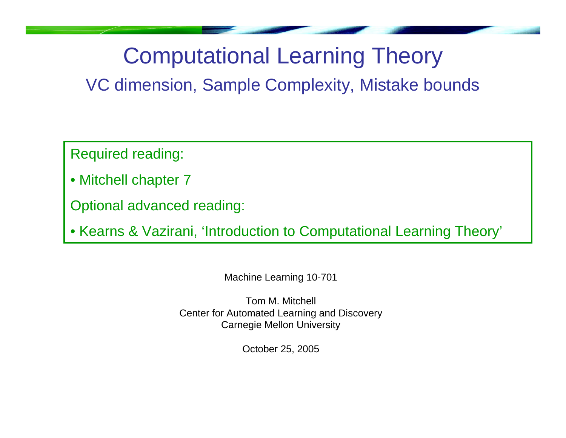## Computational Learning Theory

VC dimension, Sample Complexity, Mistake bounds

Required reading:

• Mitchell chapter 7

Optional advanced reading:

• Kearns & Vazirani, 'Introduction to Computational Learning Theory'

Machine Learning 10-701

Tom M. MitchellCenter for Automated Learning and Discovery Carnegie Mellon University

October 25, 2005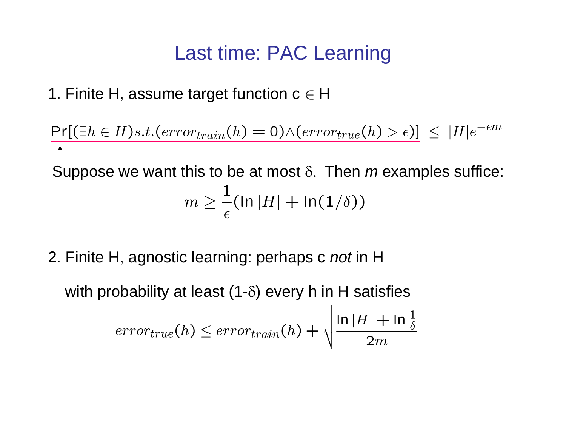### Last time: PAC Learning

1. Finite H, assume target function  $\mathsf{c}\in\mathsf{H}$ 

$$
\frac{\Pr[(\exists h \in H)s.t.(error_{train}(h) = 0) \land (error_{true}(h) > \epsilon)]}{\uparrow}
$$
  
Suppose we want this to be at most  $\delta$ . Then *m* examples suffice:  

$$
m \ge \frac{1}{\epsilon} (\ln |H| + \ln(1/\delta))
$$

2. Finite H, agnostic learning: perhaps c *not* in H

with probability at least (1- $\delta$ ) every h in H satisfies

$$
error_{true}(h) \leq error_{train}(h) + \sqrt{\frac{\ln |H| + \ln \frac{1}{\delta}}{2m}}
$$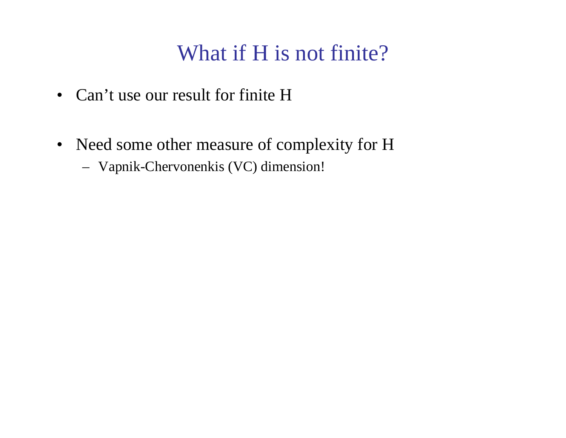## What if H is not finite?

- Can't use our result for finite H
- Need some other measure of complexity for H
	- Vapnik-Chervonenkis (VC) dimension!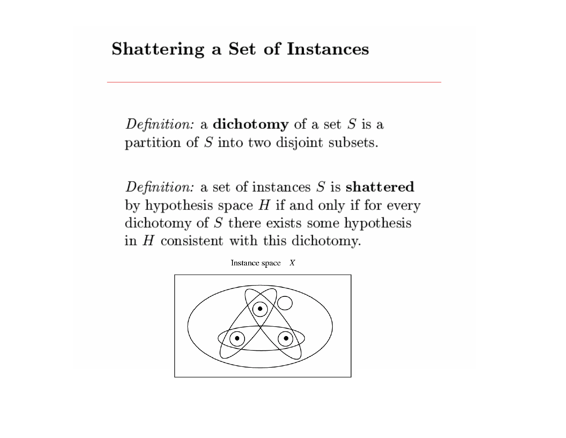### Shattering a Set of Instances

Definition: a dichotomy of a set  $S$  is a partition of  $S$  into two disjoint subsets.

Definition: a set of instances  $S$  is shattered by hypothesis space  $H$  if and only if for every dichotomy of  $S$  there exists some hypothesis in  $H$  consistent with this dichotomy.

Instance space  $X$ 

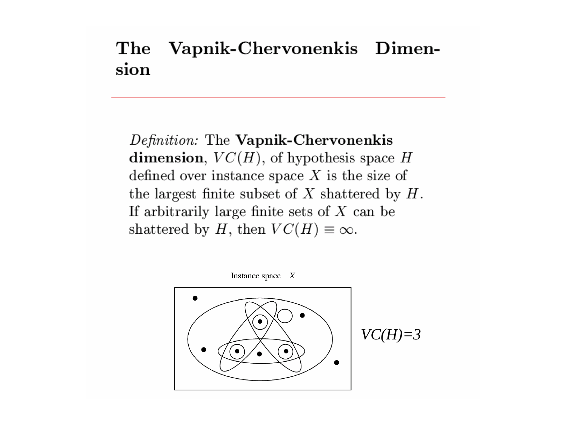#### Vapnik-Chervonenkis Dimen-The sion

Definition: The Vapnik-Chervonenkis dimension,  $VC(H)$ , of hypothesis space H defined over instance space  $X$  is the size of the largest finite subset of  $X$  shattered by  $H$ . If arbitrarily large finite sets of  $X$  can be shattered by H, then  $VC(H) \equiv \infty$ .

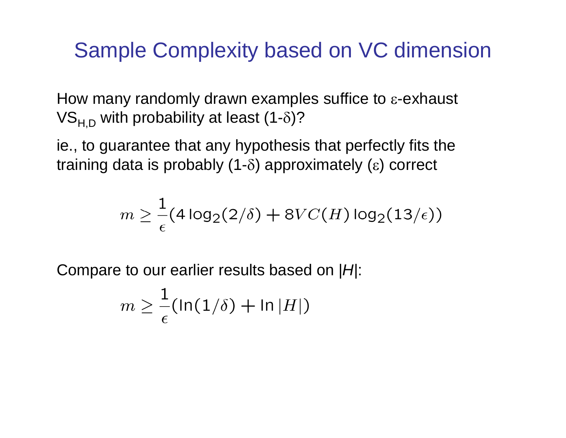### Sample Complexity based on VC dimension

How many randomly drawn examples suffice to <sup>ε</sup>-exhaust VS<sub>H,D</sub> with probability at least (1- $\delta$ )?

ie., to guarantee that any hypothesis that perfectly fits the training data is probably (1- δ) approximately ( <sup>ε</sup>) correct

$$
m \geq \frac{1}{\epsilon} (4 \log_2(2/\delta) + 8VC(H) \log_2(13/\epsilon))
$$

Compare to our earlier results based on | *H*|:

$$
m \geq \frac{1}{\epsilon} (\ln(1/\delta) + \ln|H|)
$$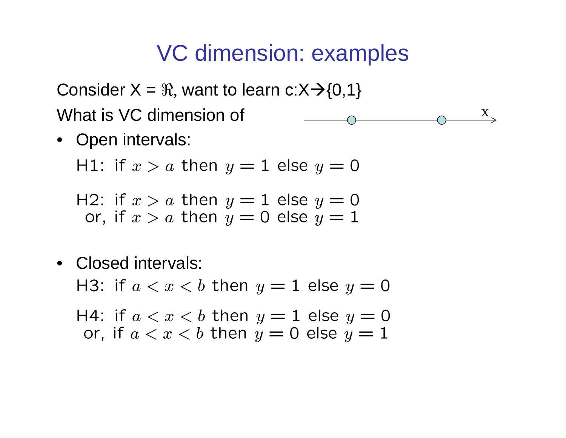$\mathbf{X}_{\infty}$ 

Consider X =  $\Re$ , want to learn c:X $\rightarrow$ {0,1} What is VC dimension of

• Open intervals:

H1: if  $x > a$  then  $y = 1$  else  $y = 0$ 

H2: if  $x > a$  then  $y = 1$  else  $y = 0$ or, if  $x > a$  then  $y = 0$  else  $y = 1$ 

• Closed intervals:

H3: if  $a < x < b$  then  $y = 1$  else  $y = 0$ 

H4: if  $a < x < b$  then  $y = 1$  else  $y = 0$ or, if  $a < x < b$  then  $y = 0$  else  $y = 1$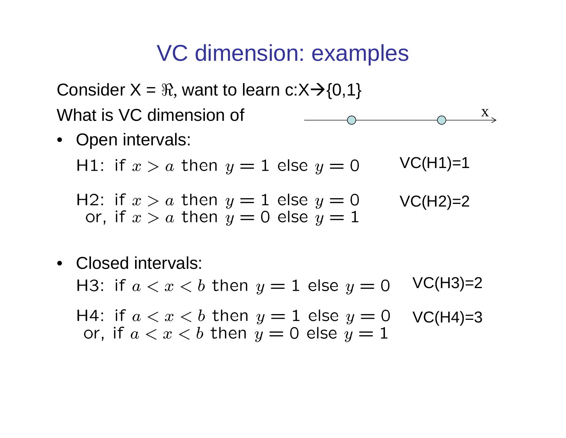$\boldsymbol{\mathrm{X}}$ 

Consider X =  $\Re$ , want to learn c:X $\rightarrow$ {0,1} What is VC dimension of

• Open intervals:

 $VC(H1)=1$ H1: if  $x > a$  then  $y = 1$  else  $y = 0$ 

- H2: if  $x > a$  then  $y = 1$  else  $y = 0$  $VC(H2)=2$ or, if  $x > a$  then  $y = 0$  else  $y = 1$
- Closed intervals:  $VC(H3)=2$ H3: if  $a < x < b$  then  $y = 1$  else  $y = 0$ H4: if  $a < x < b$  then  $y = 1$  else  $y = 0$  $VC(H4)=3$ or, if  $a < x < b$  then  $y = 0$  else  $y = 1$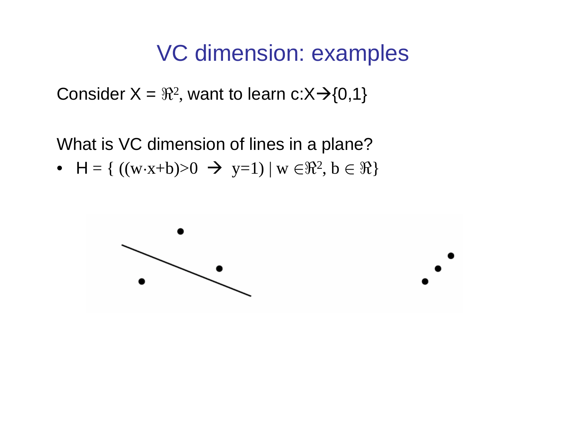Consider X =  $\Re$ 2 , want to learn c:X $\rightarrow$ {0,1}

What is VC dimension of lines in a plane?

•  $H = \{ ((w \cdot x + b) > 0 \rightarrow y = 1) | w \in \mathbb{R}^2, b \in \mathbb{R} \}$ 

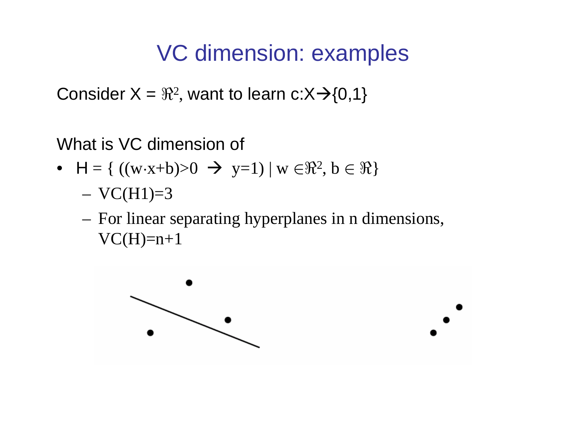Consider X =  $\Re$ 2 , want to learn c:X $\rightarrow$ {0,1}

### What is VC dimension of

- $H = \{ ((w \cdot x + b) > 0 \rightarrow y = 1) | w \in \mathbb{R}^2, b \in \mathbb{R} \}$ 
	- $VC(H1)=3$
	- For linear separating hyperplanes in n dimensions,  $VC(H)=n+1$

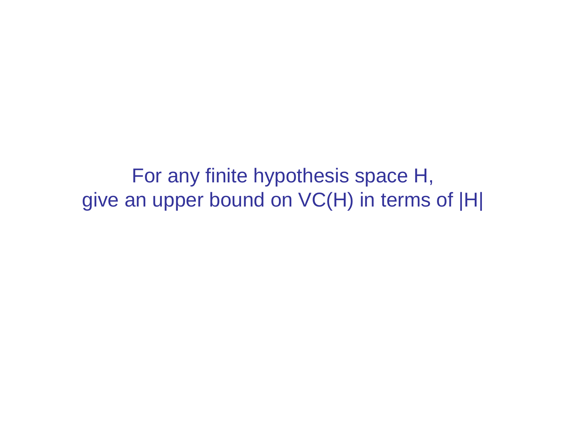For any finite hypothesis space H, give an upper bound on VC(H) in terms of |H|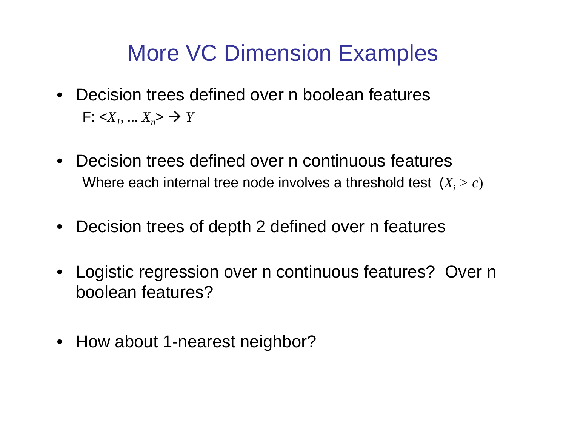# More VC Dimension Examples

- Decision trees defined over n boolean featuresF:  $<\!\!X_1$ , ...  $X_n$ >  $\to$   $Y$
- Decision trees defined over n continuous featuresWhere each internal tree node involves a threshold test  $\,(X_{_{l}} > c)\,$
- $\bullet$ Decision trees of depth 2 defined over n features
- • Logistic regression over n continuous features? Over n boolean features?
- How about 1-nearest neighbor?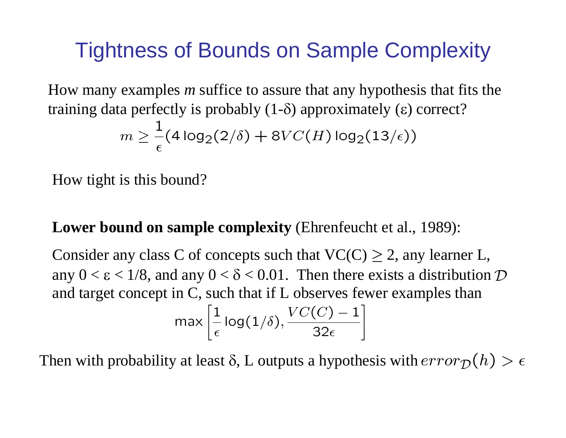## Tightness of Bounds on Sample Complexity

How many examples *<sup>m</sup>* suffice to assure that any hypothesis that fits the training data perfectly is probably  $(1-\delta)$  approximately  $(\epsilon)$  correct?

$$
m \geq \frac{1}{\epsilon} (4 \log_2(2/\delta) + 8VC(H) \log_2(13/\epsilon))
$$

How tight is this bound?

### **Lower bound on sample complexity** (Ehrenfeucht et al., 1989):

Consider any class C of concepts such that  $VC(C) \geq 2$ , any learner L, any  $0 < \varepsilon < 1/8$ , and any  $0 < \delta < 0.01$ . Then there exists a distribution  $D$ and target concept in C, such that if L observes fewer examples than max  $\left|\frac{1}{\epsilon}\log(1/\delta), \frac{VC(C)-1}{32\epsilon}\right|$ 

Then with probability at least  $\delta$ , L outputs a hypothesis with  $error_{\mathcal{D}}(h) > \epsilon$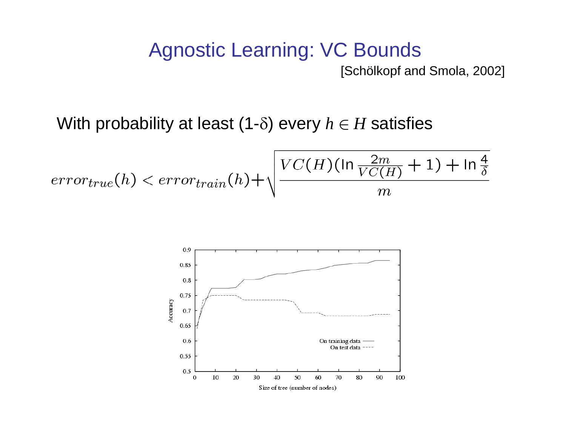### Agnostic Learning: VC Bounds [Schölkopf and Smola, 2002]

With probability at least (1- δ) every *h*  ∈ *H* satisfies

$$
error_{true}(h) < error_{train}(h) + \sqrt{\frac{VC(H)(\ln\frac{2m}{VC(H)} + 1) + \ln\frac{4}{\delta}}{m}}
$$

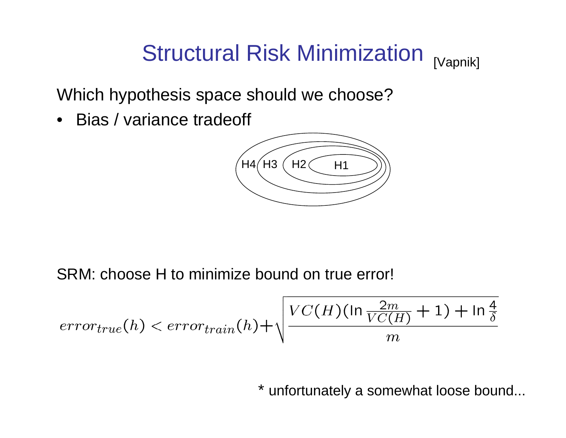#### Structural Risk Minimization [Vapnik]

Which hypothesis space should we choose?

• Bias / variance tradeoff



SRM: choose H to minimize bound on true error!

$$
error_{true}(h) < error_{train}(h) + \sqrt{\frac{VC(H)(\ln\frac{2m}{VC(H)} + 1) + \ln\frac{4}{\delta}}{m}}
$$

\* unfortunately a somewhat loose bound...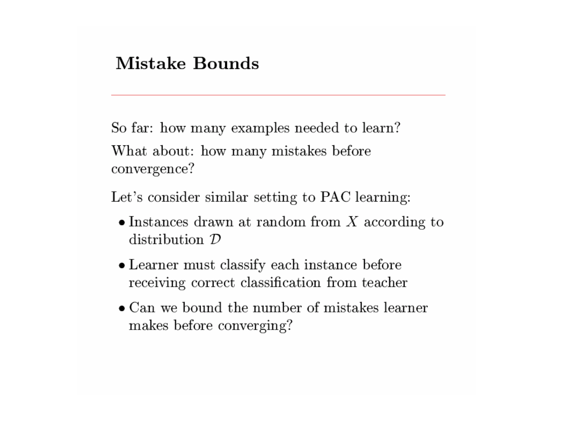### **Mistake Bounds**

So far: how many examples needed to learn? What about: how many mistakes before convergence?

Let's consider similar setting to PAC learning:

- $\bullet$  Instances drawn at random from X according to distribution  $\mathcal D$
- Learner must classify each instance before receiving correct classification from teacher
- $\bullet$  Can we bound the number of mistakes learner makes before converging?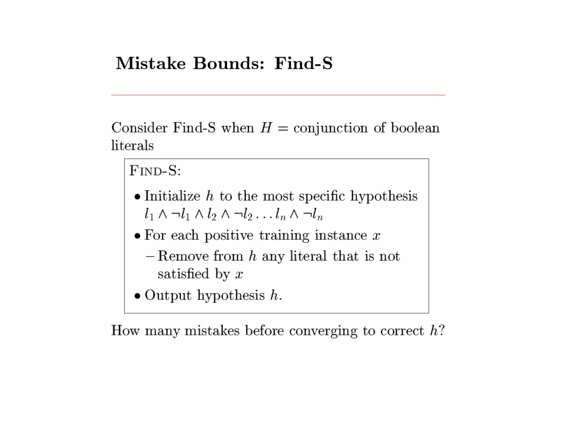### **Mistake Bounds: Find-S**

Consider Find-S when  $H =$  conjunction of boolean literals

FIND-S:

- $\bullet$  Initialize  $h$  to the most specific hypothesis  $l_1 \wedge \neg l_1 \wedge l_2 \wedge \neg l_2 \dots l_n \wedge \neg l_n$
- $\bullet$  For each positive training instance  $x$ 
	- $-$  Remove from  $h$  any literal that is not satisfied by  $x$
- $\bullet$  Output hypothesis  $h$ .

How many mistakes before converging to correct  $h$ ?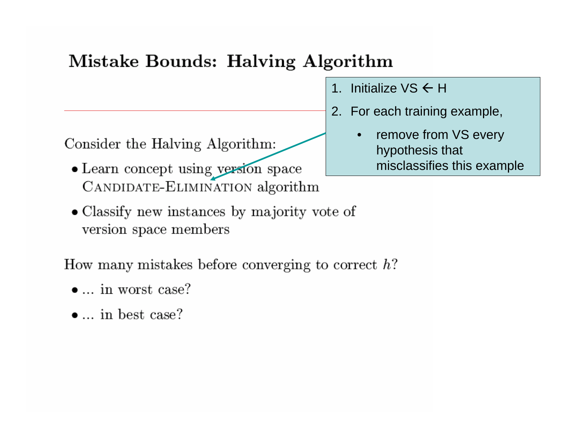### Mistake Bounds: Halving Algorithm

Consider the Halving Algorithm:

- Learn concept using version space CANDIDATE-ELIMINATION algorithm
- Classify new instances by majority vote of version space members

How many mistakes before converging to correct  $h$ ?

- $\bullet$  ... in worst case?
- $\bullet$  ... in best case?
- 1. Initialize VS  $\in$  H
- 2. For each training example,
	- • remove from VS every hypothesis that misclassifies this example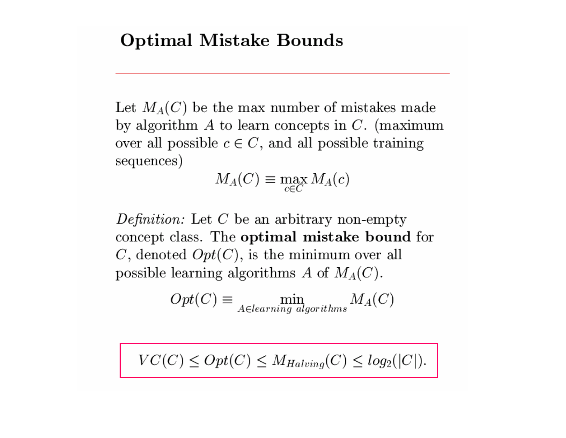### **Optimal Mistake Bounds**

Let  $M_A(C)$  be the max number of mistakes made by algorithm  $A$  to learn concepts in  $C$ . (maximum over all possible  $c \in C$ , and all possible training sequences)

 $M_A(C) \equiv \max_{c \in C} M_A(c)$ 

Definition: Let  $C$  be an arbitrary non-empty concept class. The optimal mistake bound for C, denoted  $Opt(C)$ , is the minimum over all possible learning algorithms A of  $M_A(C)$ .

$$
Opt(C) \equiv \min_{A \in learning\ algorithms} M_A(C)
$$

$$
VC(C) \le Opt(C) \le M_{Halving}(C) \le log_2(|C|).
$$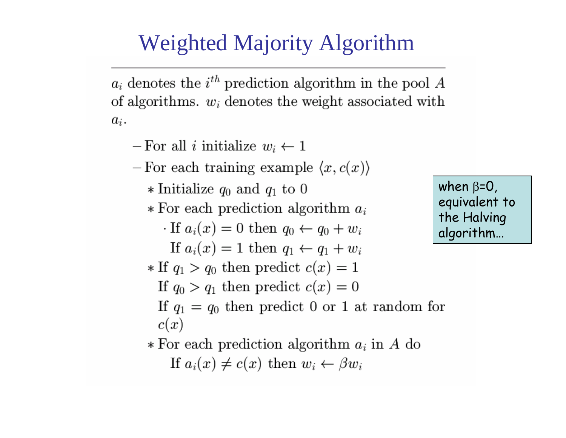## **Weighted Majority Algorithm**

 $a_i$  denotes the  $i^{th}$  prediction algorithm in the pool A of algorithms.  $w_i$  denotes the weight associated with  $a_i$ .

- $-For$  all *i* initialize  $w_i \leftarrow 1$
- For each training example  $\langle x, c(x) \rangle$ 
	- \* Initialize  $q_0$  and  $q_1$  to 0
	- \* For each prediction algorithm  $a_i$ 
		- $\cdot$  If  $a_i(x) = 0$  then  $q_0 \leftarrow q_0 + w_i$
	- If  $a_i(x) = 1$  then  $q_1 \leftarrow q_1 + w_i$ \* If  $q_1 > q_0$  then predict  $c(x) = 1$ 
		- If  $q_0 > q_1$  then predict  $c(x) = 0$

when  $\beta = 0$ , equivalent to the Halving algorithm...

- If  $q_1 = q_0$  then predict 0 or 1 at random for  $c(x)$
- \* For each prediction algorithm  $a_i$  in A do If  $a_i(x) \neq c(x)$  then  $w_i \leftarrow \beta w_i$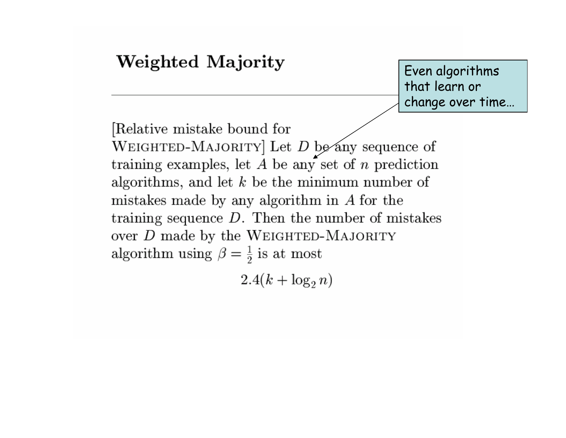### Weighted Majority Even algorithms that learn or change over time…Relative mistake bound for WEIGHTED-MAJORITY] Let  $D$  be any sequence of training examples, let  $A$  be any set of  $n$  prediction algorithms, and let  $k$  be the minimum number of mistakes made by any algorithm in  $A$  for the training sequence  $D$ . Then the number of mistakes over  $D$  made by the WEIGHTED-MAJORITY algorithm using  $\beta = \frac{1}{2}$  is at most

 $2.4(k + \log_2 n)$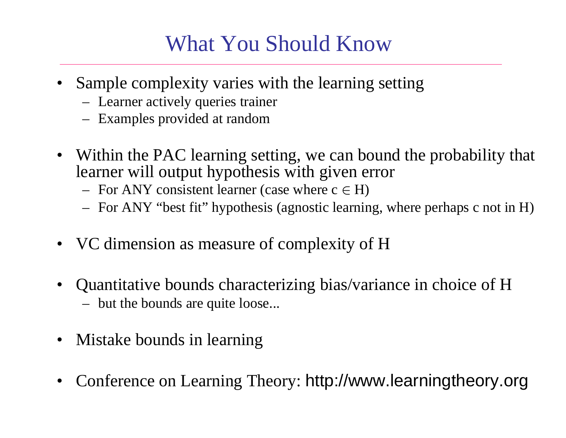## What You Should Know

- Sample complexity varies with the learning setting
	- Learner actively queries trainer
	- Examples provided at random
- Within the PAC learning setting, we can bound the probability that learner will output hypothesis with given error
	- $-$  For ANY consistent learner (case where  $c \in H$ )
	- For ANY "best fit" hypothesis (agnostic learning, where perhaps c not in H)
- VC dimension as measure of complexity of H
- $\bullet$  Quantitative bounds characterizing bias/variance in choice of H but the bounds are quite loose...
- Mistake bounds in learning
- •Conference on Learning Theory: http://www.learningtheory.org